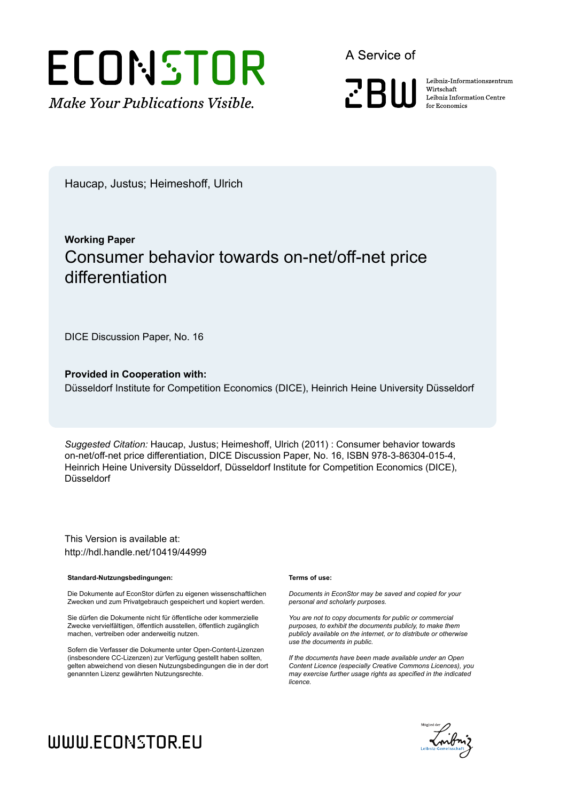

A Service of



Leibniz Informationszentrum Wirtschaft Leibniz Information Centre for Economics

Haucap, Justus; Heimeshoff, Ulrich

## **Working Paper** Consumer behavior towards on-net/off-net price differentiation

DICE Discussion Paper, No. 16

**Provided in Cooperation with:**

Düsseldorf Institute for Competition Economics (DICE), Heinrich Heine University Düsseldorf

*Suggested Citation:* Haucap, Justus; Heimeshoff, Ulrich (2011) : Consumer behavior towards on-net/off-net price differentiation, DICE Discussion Paper, No. 16, ISBN 978-3-86304-015-4, Heinrich Heine University Düsseldorf, Düsseldorf Institute for Competition Economics (DICE), Düsseldorf

This Version is available at: http://hdl.handle.net/10419/44999

#### **Standard-Nutzungsbedingungen:**

Die Dokumente auf EconStor dürfen zu eigenen wissenschaftlichen Zwecken und zum Privatgebrauch gespeichert und kopiert werden.

Sie dürfen die Dokumente nicht für öffentliche oder kommerzielle Zwecke vervielfältigen, öffentlich ausstellen, öffentlich zugänglich machen, vertreiben oder anderweitig nutzen.

Sofern die Verfasser die Dokumente unter Open-Content-Lizenzen (insbesondere CC-Lizenzen) zur Verfügung gestellt haben sollten, gelten abweichend von diesen Nutzungsbedingungen die in der dort genannten Lizenz gewährten Nutzungsrechte.

#### **Terms of use:**

*Documents in EconStor may be saved and copied for your personal and scholarly purposes.*

*You are not to copy documents for public or commercial purposes, to exhibit the documents publicly, to make them publicly available on the internet, or to distribute or otherwise use the documents in public.*

*If the documents have been made available under an Open Content Licence (especially Creative Commons Licences), you may exercise further usage rights as specified in the indicated licence.*



# WWW.ECONSTOR.EU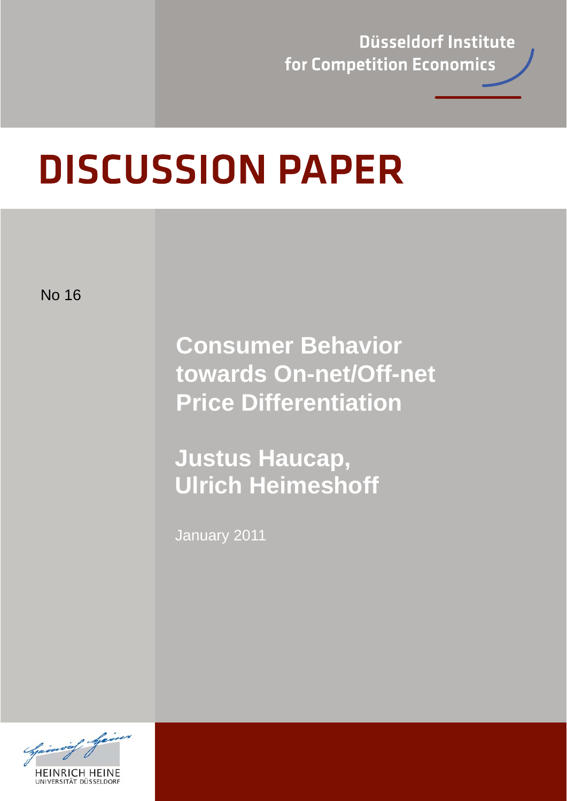Düsseldorf Institute for Competition Economics

# **DISCUSSION PAPER**

No 16

**Consumer Behavior towards On-net/Off-net Price Differentiation** 

**Justus Haucap, Ulrich Heimeshoff** 

January 2011

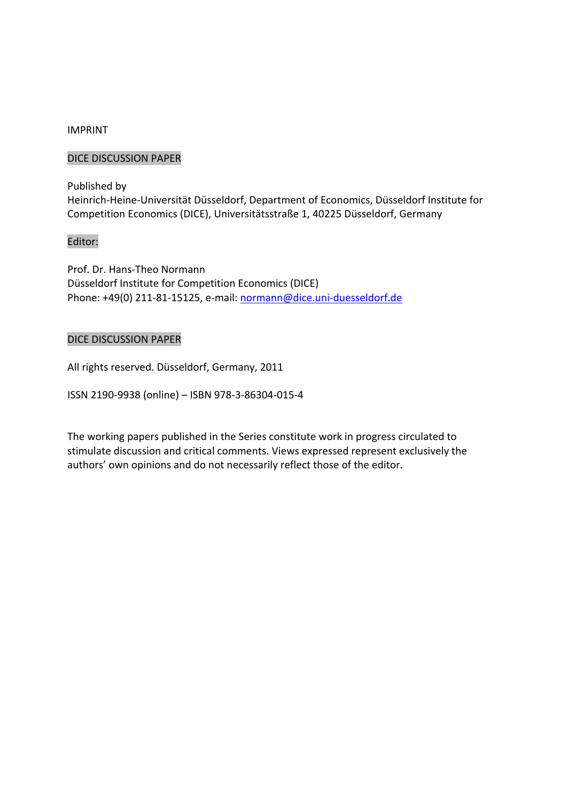## IMPRINT

## DICE DISCUSSION PAPER

Published by Heinrich‐Heine‐Universität Düsseldorf, Department of Economics, Düsseldorf Institute for Competition Economics (DICE), Universitätsstraße 1, 40225 Düsseldorf, Germany

#### Editor:

Prof. Dr. Hans‐Theo Normann Düsseldorf Institute for Competition Economics (DICE) Phone: +49(0) 211‐81‐15125, e‐mail: normann@dice.uni‐duesseldorf.de

## DICE DISCUSSION PAPER

All rights reserved. Düsseldorf, Germany, 2011

ISSN 2190‐9938 (online) – ISBN 978‐3‐86304‐015‐4

The working papers published in the Series constitute work in progress circulated to stimulate discussion and critical comments. Views expressed represent exclusively the authors' own opinions and do not necessarily reflect those of the editor.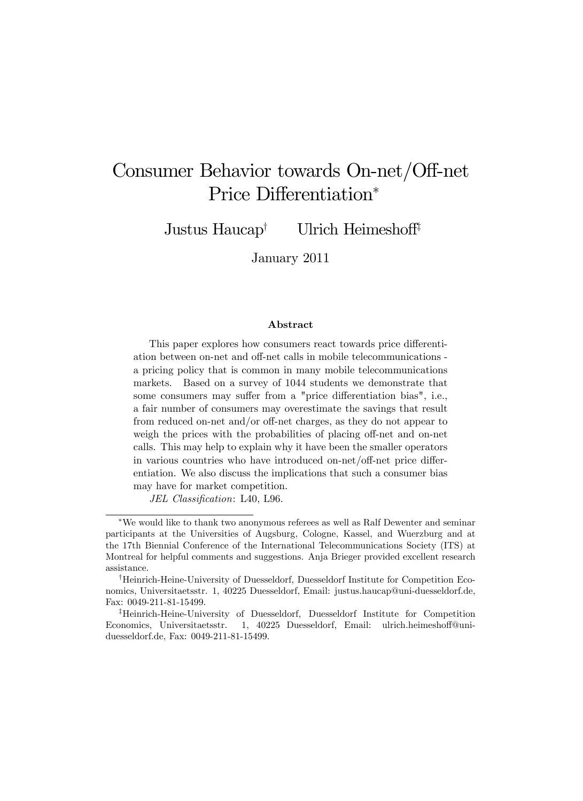# Consumer Behavior towards On-net/Off-net Price Differentiation\*

Justus Haucap<sup>†</sup> Ulrich Heimeshoff<sup>‡</sup>

January 2011

#### Abstract

This paper explores how consumers react towards price differentiation between on-net and off-net calls in mobile telecommunications a pricing policy that is common in many mobile telecommunications markets. Based on a survey of 1044 students we demonstrate that some consumers may suffer from a "price differentiation bias", i.e., a fair number of consumers may overestimate the savings that result from reduced on-net and/or off-net charges, as they do not appear to weigh the prices with the probabilities of placing off-net and on-net calls. This may help to explain why it have been the smaller operators in various countries who have introduced on-net/off-net price differentiation. We also discuss the implications that such a consumer bias may have for market competition.

JEL Classification: L40, L96.

We would like to thank two anonymous referees as well as Ralf Dewenter and seminar participants at the Universities of Augsburg, Cologne, Kassel, and Wuerzburg and at the 17th Biennial Conference of the International Telecommunications Society (ITS) at Montreal for helpful comments and suggestions. Anja Brieger provided excellent research assistance.

<sup>&</sup>lt;sup>†</sup>Heinrich-Heine-University of Duesseldorf, Duesseldorf Institute for Competition Economics, Universitaetsstr. 1, 40225 Duesseldorf, Email: justus.haucap@uni-duesseldorf.de, Fax: 0049-211-81-15499.

<sup>z</sup>Heinrich-Heine-University of Duesseldorf, Duesseldorf Institute for Competition Economics, Universitaetsstr. 1, 40225 Duesseldorf, Email: ulrich.heimeshoff@uniduesseldorf.de, Fax: 0049-211-81-15499.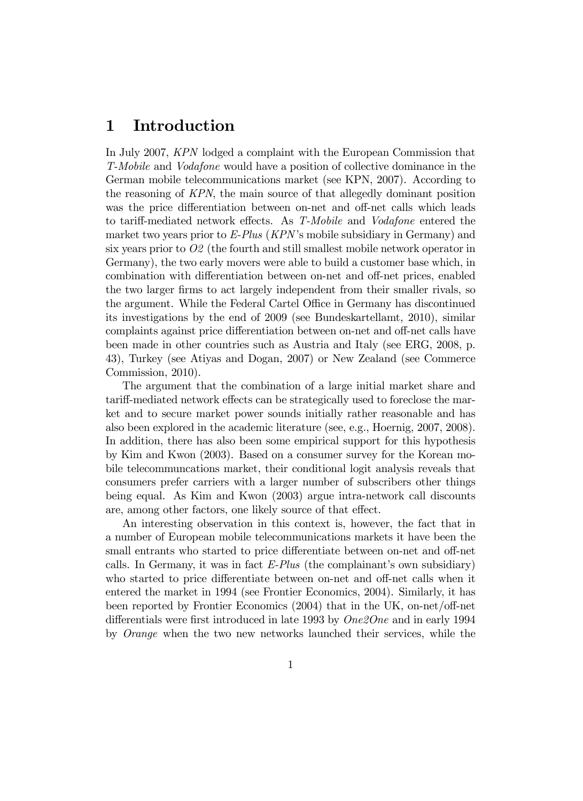## 1 Introduction

In July 2007, KPN lodged a complaint with the European Commission that T-Mobile and Vodafone would have a position of collective dominance in the German mobile telecommunications market (see KPN, 2007). According to the reasoning of KPN, the main source of that allegedly dominant position was the price differentiation between on-net and off-net calls which leads to tariff-mediated network effects. As T-Mobile and Vodafone entered the market two years prior to  $E$ -Plus (KPN's mobile subsidiary in Germany) and six years prior to O2 (the fourth and still smallest mobile network operator in Germany), the two early movers were able to build a customer base which, in combination with differentiation between on-net and off-net prices, enabled the two larger Örms to act largely independent from their smaller rivals, so the argument. While the Federal Cartel Office in Germany has discontinued its investigations by the end of 2009 (see Bundeskartellamt, 2010), similar complaints against price differentiation between on-net and off-net calls have been made in other countries such as Austria and Italy (see ERG, 2008, p. 43), Turkey (see Atiyas and Dogan, 2007) or New Zealand (see Commerce Commission, 2010).

The argument that the combination of a large initial market share and tariff-mediated network effects can be strategically used to foreclose the market and to secure market power sounds initially rather reasonable and has also been explored in the academic literature (see, e.g., Hoernig, 2007, 2008). In addition, there has also been some empirical support for this hypothesis by Kim and Kwon (2003). Based on a consumer survey for the Korean mobile telecommuncations market, their conditional logit analysis reveals that consumers prefer carriers with a larger number of subscribers other things being equal. As Kim and Kwon (2003) argue intra-network call discounts are, among other factors, one likely source of that effect.

An interesting observation in this context is, however, the fact that in a number of European mobile telecommunications markets it have been the small entrants who started to price differentiate between on-net and off-net calls. In Germany, it was in fact  $E\text{-}Plus$  (the complainant's own subsidiary) who started to price differentiate between on-net and off-net calls when it entered the market in 1994 (see Frontier Economics, 2004). Similarly, it has been reported by Frontier Economics  $(2004)$  that in the UK, on-net/off-net differentials were first introduced in late 1993 by  $One2One$  and in early 1994 by Orange when the two new networks launched their services, while the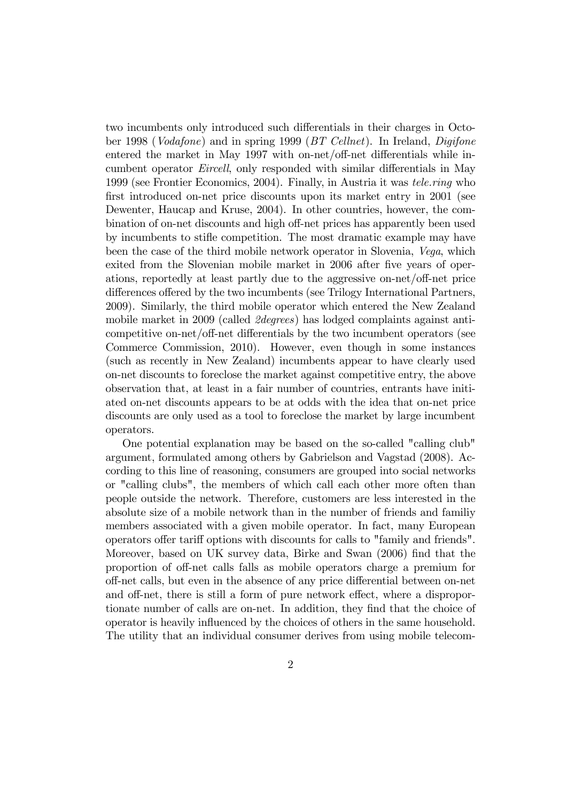two incumbents only introduced such differentials in their charges in October 1998 (Vodafone) and in spring 1999 (BT Cellnet). In Ireland, Digifone entered the market in May 1997 with on-net/off-net differentials while incumbent operator *Eircell*, only responded with similar differentials in May 1999 (see Frontier Economics, 2004). Finally, in Austria it was tele.ring who first introduced on-net price discounts upon its market entry in 2001 (see Dewenter, Haucap and Kruse, 2004). In other countries, however, the combination of on-net discounts and high off-net prices has apparently been used by incumbents to stiáe competition. The most dramatic example may have been the case of the third mobile network operator in Slovenia, Vega, which exited from the Slovenian mobile market in 2006 after five years of operations, reportedly at least partly due to the aggressive on-net/off-net price differences offered by the two incumbents (see Trilogy International Partners, 2009). Similarly, the third mobile operator which entered the New Zealand mobile market in 2009 (called 2degrees) has lodged complaints against anticompetitive on-net/off-net differentials by the two incumbent operators (see Commerce Commission, 2010). However, even though in some instances (such as recently in New Zealand) incumbents appear to have clearly used on-net discounts to foreclose the market against competitive entry, the above observation that, at least in a fair number of countries, entrants have initiated on-net discounts appears to be at odds with the idea that on-net price discounts are only used as a tool to foreclose the market by large incumbent operators.

One potential explanation may be based on the so-called "calling club" argument, formulated among others by Gabrielson and Vagstad (2008). According to this line of reasoning, consumers are grouped into social networks or "calling clubs", the members of which call each other more often than people outside the network. Therefore, customers are less interested in the absolute size of a mobile network than in the number of friends and familiy members associated with a given mobile operator. In fact, many European operators offer tariff options with discounts for calls to "family and friends". Moreover, based on UK survey data, Birke and Swan (2006) find that the proportion of off-net calls falls as mobile operators charge a premium for off-net calls, but even in the absence of any price differential between on-net and off-net, there is still a form of pure network effect, where a disproportionate number of calls are on-net. In addition, they find that the choice of operator is heavily ináuenced by the choices of others in the same household. The utility that an individual consumer derives from using mobile telecom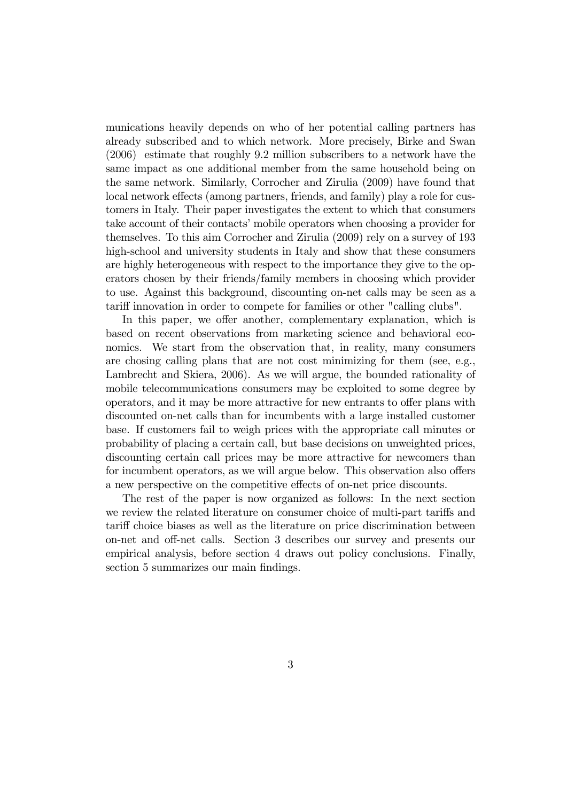munications heavily depends on who of her potential calling partners has already subscribed and to which network. More precisely, Birke and Swan (2006) estimate that roughly 9.2 million subscribers to a network have the same impact as one additional member from the same household being on the same network. Similarly, Corrocher and Zirulia (2009) have found that local network effects (among partners, friends, and family) play a role for customers in Italy. Their paper investigates the extent to which that consumers take account of their contacts' mobile operators when choosing a provider for themselves. To this aim Corrocher and Zirulia (2009) rely on a survey of 193 high-school and university students in Italy and show that these consumers are highly heterogeneous with respect to the importance they give to the operators chosen by their friends/family members in choosing which provider to use. Against this background, discounting on-net calls may be seen as a tariff innovation in order to compete for families or other "calling clubs".

In this paper, we offer another, complementary explanation, which is based on recent observations from marketing science and behavioral economics. We start from the observation that, in reality, many consumers are chosing calling plans that are not cost minimizing for them (see, e.g., Lambrecht and Skiera, 2006). As we will argue, the bounded rationality of mobile telecommunications consumers may be exploited to some degree by operators, and it may be more attractive for new entrants to offer plans with discounted on-net calls than for incumbents with a large installed customer base. If customers fail to weigh prices with the appropriate call minutes or probability of placing a certain call, but base decisions on unweighted prices, discounting certain call prices may be more attractive for newcomers than for incumbent operators, as we will argue below. This observation also offers a new perspective on the competitive effects of on-net price discounts.

The rest of the paper is now organized as follows: In the next section we review the related literature on consumer choice of multi-part tariffs and tariff choice biases as well as the literature on price discrimination between on-net and off-net calls. Section 3 describes our survey and presents our empirical analysis, before section 4 draws out policy conclusions. Finally, section 5 summarizes our main findings.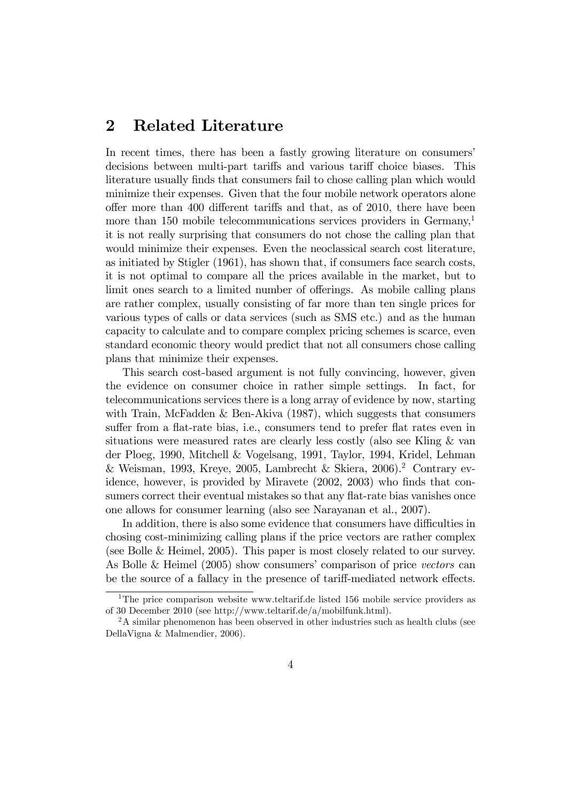## 2 Related Literature

In recent times, there has been a fastly growing literature on consumers' decisions between multi-part tariffs and various tariff choice biases. This literature usually finds that consumers fail to chose calling plan which would minimize their expenses. Given that the four mobile network operators alone offer more than 400 different tariffs and that, as of 2010, there have been more than 150 mobile telecommunications services providers in Germany,<sup>1</sup> it is not really surprising that consumers do not chose the calling plan that would minimize their expenses. Even the neoclassical search cost literature, as initiated by Stigler (1961), has shown that, if consumers face search costs, it is not optimal to compare all the prices available in the market, but to limit ones search to a limited number of offerings. As mobile calling plans are rather complex, usually consisting of far more than ten single prices for various types of calls or data services (such as SMS etc.) and as the human capacity to calculate and to compare complex pricing schemes is scarce, even standard economic theory would predict that not all consumers chose calling plans that minimize their expenses.

This search cost-based argument is not fully convincing, however, given the evidence on consumer choice in rather simple settings. In fact, for telecommunications services there is a long array of evidence by now, starting with Train, McFadden & Ben-Akiva  $(1987)$ , which suggests that consumers suffer from a flat-rate bias, i.e., consumers tend to prefer flat rates even in situations were measured rates are clearly less costly (also see Kling & van der Ploeg, 1990, Mitchell & Vogelsang, 1991, Taylor, 1994, Kridel, Lehman & Weisman, 1993, Kreye, 2005, Lambrecht & Skiera, 2006).<sup>2</sup> Contrary evidence, however, is provided by Miravete (2002, 2003) who finds that consumers correct their eventual mistakes so that any flat-rate bias vanishes once one allows for consumer learning (also see Narayanan et al., 2007).

In addition, there is also some evidence that consumers have difficulties in chosing cost-minimizing calling plans if the price vectors are rather complex (see Bolle & Heimel, 2005). This paper is most closely related to our survey. As Bolle & Heimel  $(2005)$  show consumers' comparison of price vectors can be the source of a fallacy in the presence of tariff-mediated network effects.

<sup>&</sup>lt;sup>1</sup>The price comparison website www.teltarif.de listed 156 mobile service providers as of 30 December 2010 (see http://www.teltarif.de/a/mobilfunk.html).

<sup>&</sup>lt;sup>2</sup>A similar phenomenon has been observed in other industries such as health clubs (see DellaVigna & Malmendier, 2006).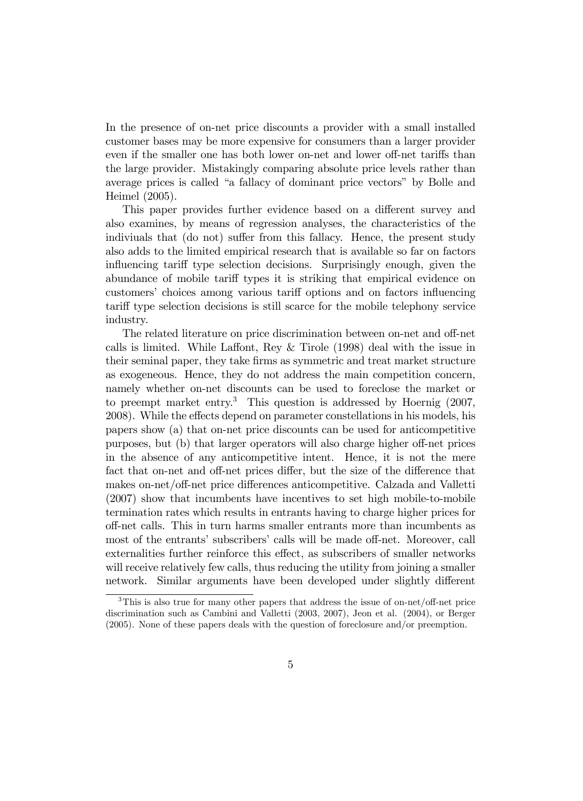In the presence of on-net price discounts a provider with a small installed customer bases may be more expensive for consumers than a larger provider even if the smaller one has both lower on-net and lower of-net tariffs than the large provider. Mistakingly comparing absolute price levels rather than average prices is called "a fallacy of dominant price vectors" by Bolle and Heimel (2005).

This paper provides further evidence based on a different survey and also examines, by means of regression analyses, the characteristics of the indiviuals that (do not) suffer from this fallacy. Hence, the present study also adds to the limited empirical research that is available so far on factors influencing tariff type selection decisions. Surprisingly enough, given the abundance of mobile tariff types it is striking that empirical evidence on customers' choices among various tariff options and on factors influencing tariff type selection decisions is still scarce for the mobile telephony service industry.

The related literature on price discrimination between on-net and off-net calls is limited. While Laffont, Rey  $&$  Tirole (1998) deal with the issue in their seminal paper, they take Örms as symmetric and treat market structure as exogeneous. Hence, they do not address the main competition concern, namely whether on-net discounts can be used to foreclose the market or to preempt market entry.<sup>3</sup> This question is addressed by Hoernig  $(2007,$ 2008). While the effects depend on parameter constellations in his models, his papers show (a) that on-net price discounts can be used for anticompetitive purposes, but (b) that larger operators will also charge higher off-net prices in the absence of any anticompetitive intent. Hence, it is not the mere fact that on-net and off-net prices differ, but the size of the difference that makes on-net/off-net price differences anticompetitive. Calzada and Valletti (2007) show that incumbents have incentives to set high mobile-to-mobile termination rates which results in entrants having to charge higher prices for o§-net calls. This in turn harms smaller entrants more than incumbents as most of the entrants' subscribers' calls will be made off-net. Moreover, call externalities further reinforce this effect, as subscribers of smaller networks will receive relatively few calls, thus reducing the utility from joining a smaller network. Similar arguments have been developed under slightly different

 $3$ This is also true for many other papers that address the issue of on-net/off-net price discrimination such as Cambini and Valletti (2003, 2007), Jeon et al. (2004), or Berger (2005). None of these papers deals with the question of foreclosure and/or preemption.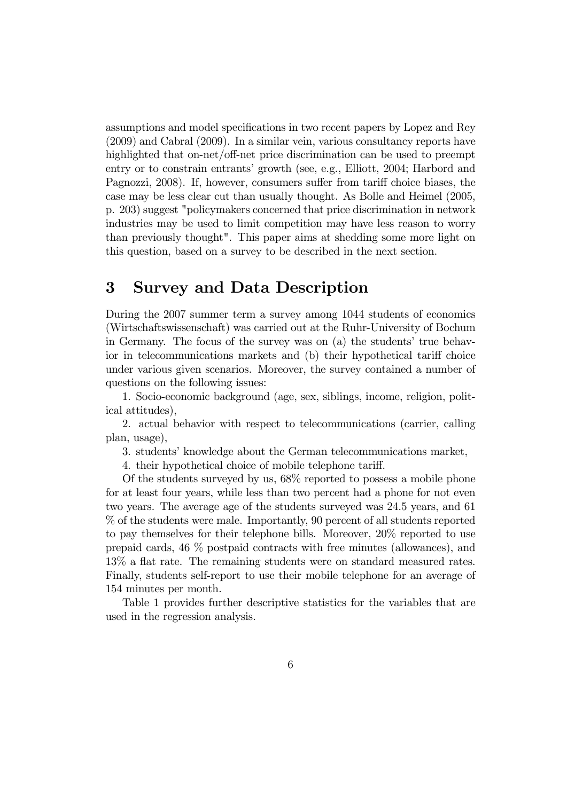assumptions and model specifications in two recent papers by Lopez and Rey (2009) and Cabral (2009). In a similar vein, various consultancy reports have highlighted that on-net/off-net price discrimination can be used to preempt entry or to constrain entrants' growth (see, e.g., Elliott, 2004; Harbord and Pagnozzi, 2008). If, however, consumers suffer from tariff choice biases, the case may be less clear cut than usually thought. As Bolle and Heimel (2005, p. 203) suggest "policymakers concerned that price discrimination in network industries may be used to limit competition may have less reason to worry than previously thought". This paper aims at shedding some more light on this question, based on a survey to be described in the next section.

## 3 Survey and Data Description

During the 2007 summer term a survey among 1044 students of economics (Wirtschaftswissenschaft) was carried out at the Ruhr-University of Bochum in Germany. The focus of the survey was on  $(a)$  the students' true behavior in telecommunications markets and (b) their hypothetical tariff choice under various given scenarios. Moreover, the survey contained a number of questions on the following issues:

1. Socio-economic background (age, sex, siblings, income, religion, political attitudes),

2. actual behavior with respect to telecommunications (carrier, calling plan, usage),

3. students' knowledge about the German telecommunications market,

4. their hypothetical choice of mobile telephone tariff.

Of the students surveyed by us, 68% reported to possess a mobile phone for at least four years, while less than two percent had a phone for not even two years. The average age of the students surveyed was 24.5 years, and 61 % of the students were male. Importantly, 90 percent of all students reported to pay themselves for their telephone bills. Moreover, 20% reported to use prepaid cards, 46 % postpaid contracts with free minutes (allowances), and 13% a flat rate. The remaining students were on standard measured rates. Finally, students self-report to use their mobile telephone for an average of 154 minutes per month.

Table 1 provides further descriptive statistics for the variables that are used in the regression analysis.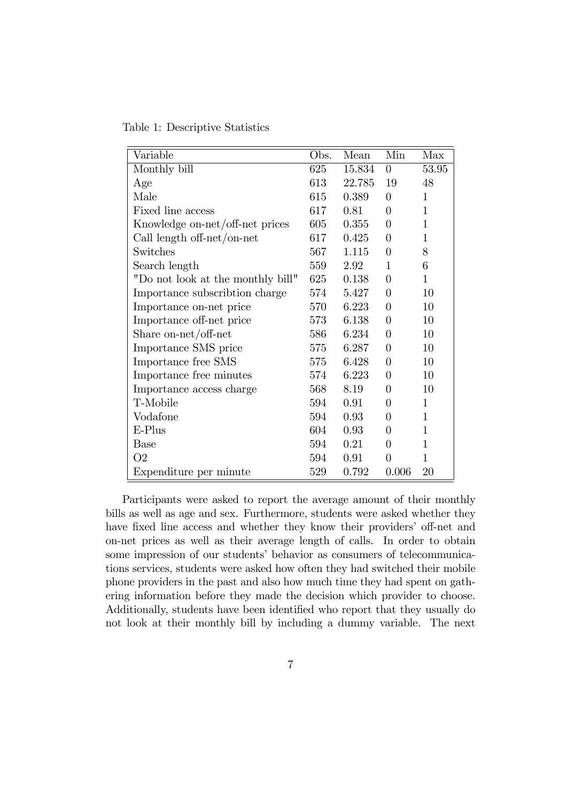Table 1: Descriptive Statistics

| Variable                          | Obs. | Mean   | Min            | Max          |
|-----------------------------------|------|--------|----------------|--------------|
| Monthly bill                      | 625  | 15.834 | $\theta$       | 53.95        |
| Age                               | 613  | 22.785 | 19             | 48           |
| Male                              | 615  | 0.389  | $\theta$       | 1            |
| Fixed line access                 | 617  | 0.81   | $\theta$       | 1            |
| Knowledge on-net/off-net prices   | 605  | 0.355  | $\theta$       | $\mathbf{1}$ |
| Call length off-net/on-net        | 617  | 0.425  | $\overline{0}$ | $\mathbf{1}$ |
| Switches                          | 567  | 1.115  | $\overline{0}$ | 8            |
| Search length                     | 559  | 2.92   | $\mathbf{1}$   | 6            |
| "Do not look at the monthly bill" | 625  | 0.138  | $\theta$       | $\mathbf{1}$ |
| Importance subscribtion charge    | 574  | 5.427  | $\theta$       | 10           |
| Importance on-net price           | 570  | 6.223  | $\overline{0}$ | 10           |
| Importance off-net price          | 573  | 6.138  | $\theta$       | 10           |
| Share on-net/off-net              | 586  | 6.234  | $\overline{0}$ | 10           |
| Importance SMS price              | 575  | 6.287  | $\theta$       | 10           |
| Importance free SMS               | 575  | 6.428  | $\overline{0}$ | 10           |
| Importance free minutes           | 574  | 6.223  | $\theta$       | 10           |
| Importance access charge          | 568  | 8.19   | $\theta$       | 10           |
| T-Mobile                          | 594  | 0.91   | 0              | 1            |
| Vodafone                          | 594  | 0.93   | 0              | $\mathbf{1}$ |
| E-Plus                            | 604  | 0.93   | 0              | $\mathbf{1}$ |
| <b>Base</b>                       | 594  | 0.21   | $\overline{0}$ | $\mathbf{1}$ |
| O <sub>2</sub>                    | 594  | 0.91   | 0              | $\mathbf{1}$ |
| Expenditure per minute            | 529  | 0.792  | 0.006          | 20           |

Participants were asked to report the average amount of their monthly bills as well as age and sex. Furthermore, students were asked whether they have fixed line access and whether they know their providers' off-net and on-net prices as well as their average length of calls. In order to obtain some impression of our students' behavior as consumers of telecommunications services, students were asked how often they had switched their mobile phone providers in the past and also how much time they had spent on gathering information before they made the decision which provider to choose. Additionally, students have been identified who report that they usually do not look at their monthly bill by including a dummy variable. The next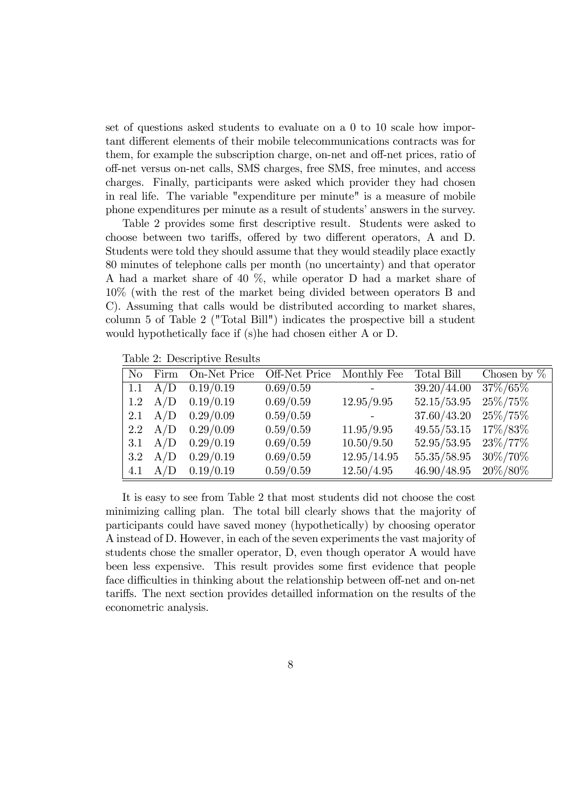set of questions asked students to evaluate on a 0 to 10 scale how important different elements of their mobile telecommunications contracts was for them, for example the subscription charge, on-net and off-net prices, ratio of off-net versus on-net calls, SMS charges, free SMS, free minutes, and access charges. Finally, participants were asked which provider they had chosen in real life. The variable "expenditure per minute" is a measure of mobile phone expenditures per minute as a result of studentsíanswers in the survey.

Table 2 provides some first descriptive result. Students were asked to choose between two tariffs, offered by two different operators, A and D. Students were told they should assume that they would steadily place exactly 80 minutes of telephone calls per month (no uncertainty) and that operator A had a market share of 40 %, while operator D had a market share of 10% (with the rest of the market being divided between operators B and C). Assuming that calls would be distributed according to market shares, column 5 of Table 2 ("Total Bill") indicates the prospective bill a student would hypothetically face if (s)he had chosen either A or D.

Table 2: Descriptive Results

|                  |                 | No Firm On-Net Price | Off-Net Price | Monthly Fee | Total Bill  | Chosen by $\%$ |
|------------------|-----------------|----------------------|---------------|-------------|-------------|----------------|
|                  | $1.1 \quad A/D$ | 0.19/0.19            | 0.69/0.59     |             | 39.20/44.00 | 37%/65%        |
|                  | $1.2 \quad A/D$ | 0.19/0.19            | 0.69/0.59     | 12.95/9.95  | 52.15/53.95 | $25\%/75\%$    |
|                  | 2.1 $A/D$       | 0.29/0.09            | 0.59/0.59     |             | 37.60/43.20 | $25\%/75\%$    |
|                  | 2.2 $A/D$       | 0.29/0.09            | 0.59/0.59     | 11.95/9.95  | 49.55/53.15 | 17\%/83\%      |
| 3.1              | A/D             | 0.29/0.19            | 0.69/0.59     | 10.50/9.50  | 52.95/53.95 | $23\%/77\%$    |
| $3.2\phantom{0}$ | A/D             | 0.29/0.19            | 0.69/0.59     | 12.95/14.95 | 55.35/58.95 | 30\%/70\%      |
| 4.1              | A/D             | 0.19/0.19            | 0.59/0.59     | 12.50/4.95  | 46.90/48.95 | 20\%/80\%      |

It is easy to see from Table 2 that most students did not choose the cost minimizing calling plan. The total bill clearly shows that the majority of participants could have saved money (hypothetically) by choosing operator A instead of D. However, in each of the seven experiments the vast majority of students chose the smaller operator, D, even though operator A would have been less expensive. This result provides some first evidence that people face difficulties in thinking about the relationship between off-net and on-net tari§s. The next section provides detailled information on the results of the econometric analysis.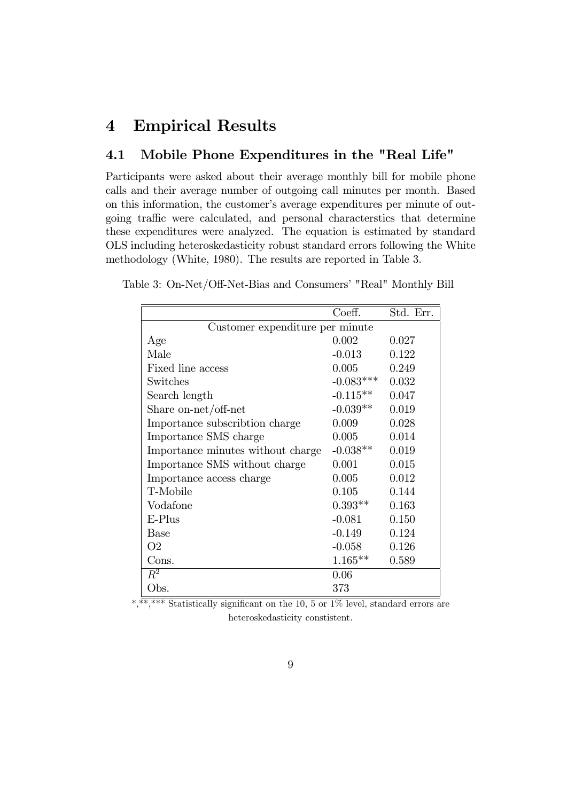## 4 Empirical Results

## 4.1 Mobile Phone Expenditures in the "Real Life"

Participants were asked about their average monthly bill for mobile phone calls and their average number of outgoing call minutes per month. Based on this information, the customer's average expenditures per minute of outgoing traffic were calculated, and personal characterstics that determine these expenditures were analyzed. The equation is estimated by standard OLS including heteroskedasticity robust standard errors following the White methodology (White, 1980). The results are reported in Table 3.

Table 3: On-Net/Off-Net-Bias and Consumers' "Real" Monthly Bill

|                                   | Coeff.      | Std. Err. |  |  |
|-----------------------------------|-------------|-----------|--|--|
| Customer expenditure per minute   |             |           |  |  |
| Age                               | 0.002       | 0.027     |  |  |
| Male                              | $-0.013$    | 0.122     |  |  |
| Fixed line access                 | 0.005       | 0.249     |  |  |
| Switches                          | $-0.083***$ | 0.032     |  |  |
| Search length                     | $-0.115**$  | 0.047     |  |  |
| Share on-net/off-net              | $-0.039**$  | 0.019     |  |  |
| Importance subscribtion charge    | 0.009       | 0.028     |  |  |
| Importance SMS charge             | 0.005       | 0.014     |  |  |
| Importance minutes without charge | $-0.038**$  | 0.019     |  |  |
| Importance SMS without charge     | 0.001       | 0.015     |  |  |
| Importance access charge          | 0.005       | 0.012     |  |  |
| T-Mobile                          | 0.105       | 0.144     |  |  |
| Vodafone                          | $0.393**$   | 0.163     |  |  |
| $E-Plus$                          | $-0.081$    | 0.150     |  |  |
| <b>Base</b>                       | $-0.149$    | 0.124     |  |  |
| O <sub>2</sub>                    | $-0.058$    | 0.126     |  |  |
| Cons.                             | $1.165**$   | 0.589     |  |  |
| $R^2$                             | 0.06        |           |  |  |
| Obs.                              | 373         |           |  |  |

\*,\*\*\*\*\* Statistically significant on the 10, 5 or 1% level, standard errors are heteroskedasticity constistent.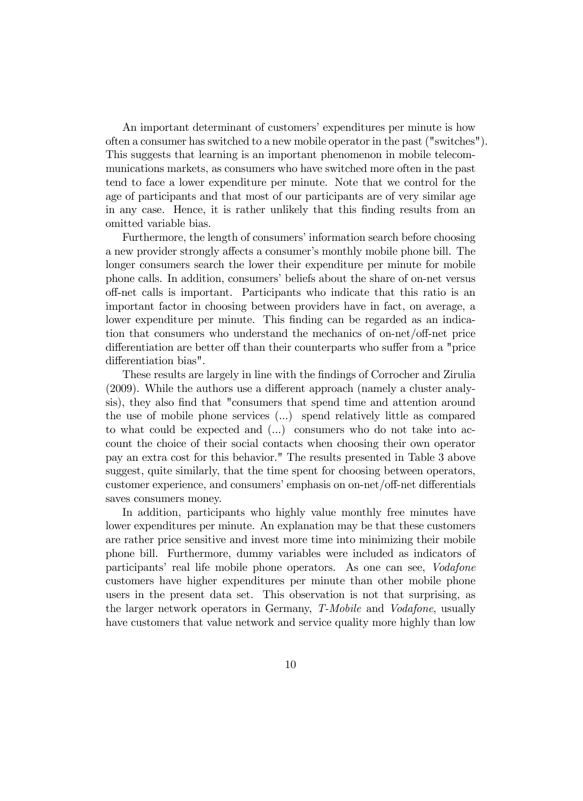An important determinant of customers' expenditures per minute is how often a consumer has switched to a new mobile operator in the past ("switches"). This suggests that learning is an important phenomenon in mobile telecommunications markets, as consumers who have switched more often in the past tend to face a lower expenditure per minute. Note that we control for the age of participants and that most of our participants are of very similar age in any case. Hence, it is rather unlikely that this Önding results from an omitted variable bias.

Furthermore, the length of consumers' information search before choosing a new provider strongly affects a consumer's monthly mobile phone bill. The longer consumers search the lower their expenditure per minute for mobile phone calls. In addition, consumers' beliefs about the share of on-net versus off-net calls is important. Participants who indicate that this ratio is an important factor in choosing between providers have in fact, on average, a lower expenditure per minute. This finding can be regarded as an indication that consumers who understand the mechanics of on-net/off-net price differentiation are better off than their counterparts who suffer from a "price differentiation bias".

These results are largely in line with the findings of Corrocher and Zirulia  $(2009)$ . While the authors use a different approach (namely a cluster analysis), they also Önd that "consumers that spend time and attention around the use of mobile phone services (...) spend relatively little as compared to what could be expected and (...) consumers who do not take into account the choice of their social contacts when choosing their own operator pay an extra cost for this behavior." The results presented in Table 3 above suggest, quite similarly, that the time spent for choosing between operators, customer experience, and consumers' emphasis on on-net/off-net differentials saves consumers money.

In addition, participants who highly value monthly free minutes have lower expenditures per minute. An explanation may be that these customers are rather price sensitive and invest more time into minimizing their mobile phone bill. Furthermore, dummy variables were included as indicators of participants' real life mobile phone operators. As one can see, *Vodafone* customers have higher expenditures per minute than other mobile phone users in the present data set. This observation is not that surprising, as the larger network operators in Germany, T-Mobile and Vodafone, usually have customers that value network and service quality more highly than low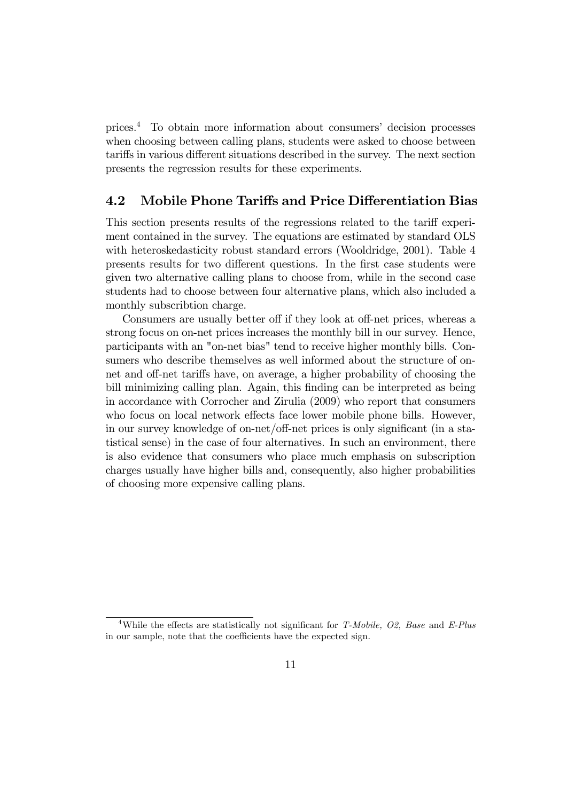prices.<sup>4</sup> To obtain more information about consumers' decision processes when choosing between calling plans, students were asked to choose between tariffs in various different situations described in the survey. The next section presents the regression results for these experiments.

## 4.2 Mobile Phone Tariffs and Price Differentiation Bias

This section presents results of the regressions related to the tariff experiment contained in the survey. The equations are estimated by standard OLS with heteroskedasticity robust standard errors (Wooldridge, 2001). Table 4 presents results for two different questions. In the first case students were given two alternative calling plans to choose from, while in the second case students had to choose between four alternative plans, which also included a monthly subscribtion charge.

Consumers are usually better off if they look at off-net prices, whereas a strong focus on on-net prices increases the monthly bill in our survey. Hence, participants with an "on-net bias" tend to receive higher monthly bills. Consumers who describe themselves as well informed about the structure of onnet and off-net tariffs have, on average, a higher probability of choosing the bill minimizing calling plan. Again, this finding can be interpreted as being in accordance with Corrocher and Zirulia (2009) who report that consumers who focus on local network effects face lower mobile phone bills. However, in our survey knowledge of on-net/off-net prices is only significant (in a statistical sense) in the case of four alternatives. In such an environment, there is also evidence that consumers who place much emphasis on subscription charges usually have higher bills and, consequently, also higher probabilities of choosing more expensive calling plans.

<sup>&</sup>lt;sup>4</sup>While the effects are statistically not significant for T-Mobile, O2, Base and E-Plus in our sample, note that the coefficients have the expected sign.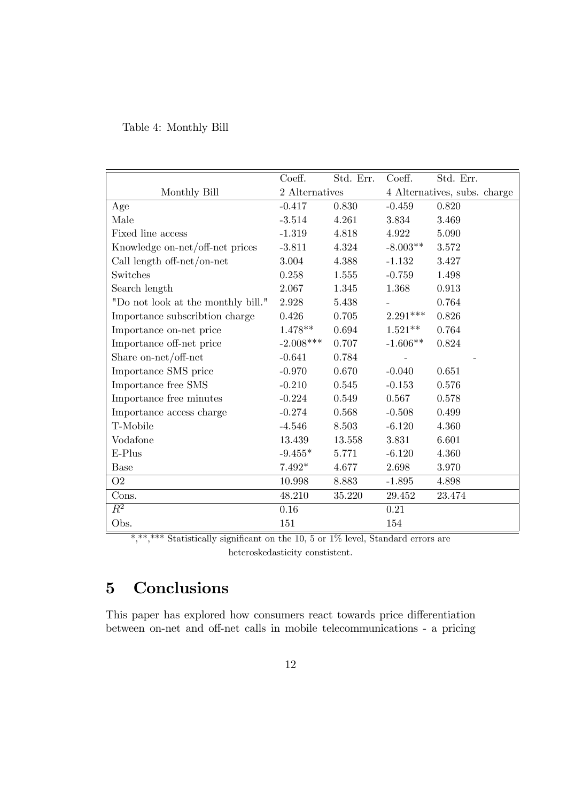## Table 4: Monthly Bill

|                                    | Coeff.         | Std. Err. | Coeff.                       | Std. Err. |
|------------------------------------|----------------|-----------|------------------------------|-----------|
| Monthly Bill                       | 2 Alternatives |           | 4 Alternatives, subs. charge |           |
| Age                                | $-0.417$       | 0.830     | $-0.459$                     | 0.820     |
| Male                               | $-3.514$       | 4.261     | 3.834                        | 3.469     |
| Fixed line access                  | $-1.319$       | 4.818     | 4.922                        | 5.090     |
| Knowledge on-net/off-net prices    | $-3.811$       | 4.324     | $-8.003**$                   | 3.572     |
| Call length off-net/on-net         | 3.004          | 4.388     | $-1.132$                     | 3.427     |
| Switches                           | 0.258          | 1.555     | $-0.759$                     | 1.498     |
| Search length                      | 2.067          | 1.345     | 1.368                        | 0.913     |
| "Do not look at the monthly bill." | 2.928          | 5.438     |                              | 0.764     |
| Importance subscribtion charge     | 0.426          | 0.705     | $2.291***$                   | 0.826     |
| Importance on-net price            | $1.478**$      | 0.694     | $1.521**$                    | 0.764     |
| Importance off-net price           | $-2.008***$    | 0.707     | $-1.606**$                   | 0.824     |
| Share on-net/off-net               | $-0.641$       | 0.784     |                              |           |
| Importance SMS price               | $-0.970$       | 0.670     | $-0.040$                     | 0.651     |
| Importance free SMS                | $-0.210$       | 0.545     | $-0.153$                     | 0.576     |
| Importance free minutes            | $-0.224$       | 0.549     | 0.567                        | 0.578     |
| Importance access charge           | $-0.274$       | 0.568     | $-0.508$                     | 0.499     |
| T-Mobile                           | $-4.546$       | 8.503     | $-6.120$                     | 4.360     |
| Vodafone                           | 13.439         | 13.558    | 3.831                        | 6.601     |
| E-Plus                             | $-9.455*$      | 5.771     | $-6.120$                     | 4.360     |
| <b>Base</b>                        | $7.492*$       | 4.677     | 2.698                        | 3.970     |
| O <sub>2</sub>                     | 10.998         | 8.883     | $-1.895$                     | 4.898     |
| Cons.                              | 48.210         | 35.220    | 29.452                       | 23.474    |
| $\overline{R^2}$                   | $0.16\,$       |           | 0.21                         |           |
| Obs.                               | 151            |           | 154                          |           |

\*,\*\*\*\*\* Statistically significant on the 10, 5 or  $1\%$  level, Standard errors are heteroskedasticity constistent.

# 5 Conclusions

This paper has explored how consumers react towards price differentiation between on-net and off-net calls in mobile telecommunications - a pricing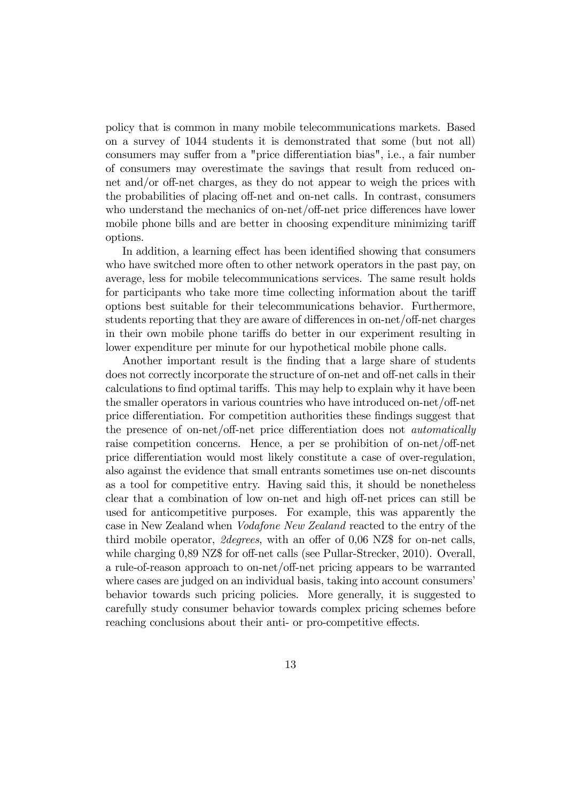policy that is common in many mobile telecommunications markets. Based on a survey of 1044 students it is demonstrated that some (but not all) consumers may suffer from a "price differentiation bias", i.e., a fair number of consumers may overestimate the savings that result from reduced onnet and/or off-net charges, as they do not appear to weigh the prices with the probabilities of placing off-net and on-net calls. In contrast, consumers who understand the mechanics of on-net/off-net price differences have lower mobile phone bills and are better in choosing expenditure minimizing tariff options.

In addition, a learning effect has been identified showing that consumers who have switched more often to other network operators in the past pay, on average, less for mobile telecommunications services. The same result holds for participants who take more time collecting information about the tariff options best suitable for their telecommunications behavior. Furthermore, students reporting that they are aware of differences in on-net/off-net charges in their own mobile phone tariffs do better in our experiment resulting in lower expenditure per minute for our hypothetical mobile phone calls.

Another important result is the finding that a large share of students does not correctly incorporate the structure of on-net and off-net calls in their calculations to find optimal tariffs. This may help to explain why it have been the smaller operators in various countries who have introduced on-net/off-net price differentiation. For competition authorities these findings suggest that the presence of on-net/off-net price differentiation does not *automatically* raise competition concerns. Hence, a per se prohibition of on-net/off-net price differentiation would most likely constitute a case of over-regulation, also against the evidence that small entrants sometimes use on-net discounts as a tool for competitive entry. Having said this, it should be nonetheless clear that a combination of low on-net and high off-net prices can still be used for anticompetitive purposes. For example, this was apparently the case in New Zealand when Vodafone New Zealand reacted to the entry of the third mobile operator,  $2 \text{degrees}$ , with an offer of 0,06 NZ\$ for on-net calls, while charging  $0.89$  NZ\$ for off-net calls (see Pullar-Strecker, 2010). Overall, a rule-of-reason approach to on-net/off-net pricing appears to be warranted where cases are judged on an individual basis, taking into account consumers' behavior towards such pricing policies. More generally, it is suggested to carefully study consumer behavior towards complex pricing schemes before reaching conclusions about their anti- or pro-competitive effects.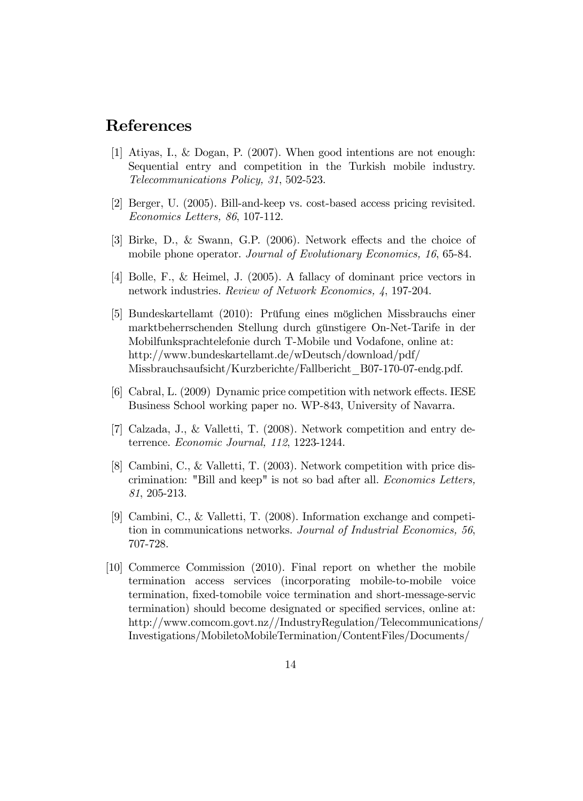## References

- [1] Atiyas, I., & Dogan, P. (2007). When good intentions are not enough: Sequential entry and competition in the Turkish mobile industry. Telecommunications Policy, 31, 502-523.
- [2] Berger, U. (2005). Bill-and-keep vs. cost-based access pricing revisited. Economics Letters, 86, 107-112.
- [3] Birke, D., & Swann, G.P. (2006). Network effects and the choice of mobile phone operator. Journal of Evolutionary Economics, 16, 65-84.
- [4] Bolle, F., & Heimel, J. (2005). A fallacy of dominant price vectors in network industries. Review of Network Economics, 4, 197-204.
- [5] Bundeskartellamt (2010): Prüfung eines möglichen Missbrauchs einer marktbeherrschenden Stellung durch günstigere On-Net-Tarife in der Mobilfunksprachtelefonie durch T-Mobile und Vodafone, online at: http://www.bundeskartellamt.de/wDeutsch/download/pdf/ Missbrauchsaufsicht/Kurzberichte/Fallbericht\_B07-170-07-endg.pdf.
- [6] Cabral, L.  $(2009)$  Dynamic price competition with network effects. IESE Business School working paper no. WP-843, University of Navarra.
- [7] Calzada, J., & Valletti, T. (2008). Network competition and entry deterrence. Economic Journal, 112, 1223-1244.
- [8] Cambini, C., & Valletti, T. (2003). Network competition with price discrimination: "Bill and keep" is not so bad after all. Economics Letters, 81, 205-213.
- [9] Cambini, C., & Valletti, T. (2008). Information exchange and competition in communications networks. Journal of Industrial Economics, 56, 707-728.
- [10] Commerce Commission (2010). Final report on whether the mobile termination access services (incorporating mobile-to-mobile voice termination, fixed-tomobile voice termination and short-message-servic termination) should become designated or specified services, online at: http://www.comcom.govt.nz//IndustryRegulation/Telecommunications/ Investigations/MobiletoMobileTermination/ContentFiles/Documents/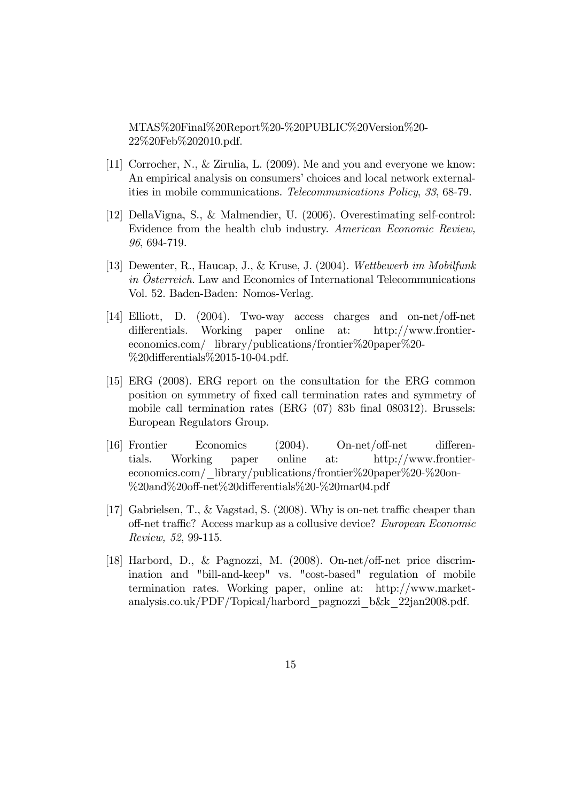MTAS%20Final%20Report%20-%20PUBLIC%20Version%20- 22%20Feb%202010.pdf.

- [11] Corrocher, N., & Zirulia, L. (2009). Me and you and everyone we know: An empirical analysis on consumers' choices and local network externalities in mobile communications. Telecommunications Policy, 33, 68-79.
- [12] DellaVigna, S., & Malmendier, U. (2006). Overestimating self-control: Evidence from the health club industry. American Economic Review, 96, 694-719.
- [13] Dewenter, R., Haucap, J., & Kruse, J. (2004). Wettbewerb im Mobilfunk in Osterreich. Law and Economics of International Telecommunications Vol. 52. Baden-Baden: Nomos-Verlag.
- [14] Elliott, D.  $(2004)$ . Two-way access charges and on-net/off-net differentials. Working paper online at: http://www.frontiereconomics.com/\_library/publications/frontier%20paper%20- %20differentials%2015-10-04.pdf.
- [15] ERG (2008). ERG report on the consultation for the ERG common position on symmetry of Öxed call termination rates and symmetry of mobile call termination rates  $(ERG (07) 83b)$  final 080312). Brussels: European Regulators Group.
- $[16]$  Frontier Economics  $(2004)$ . On-net/off-net differentials. Working paper online at: http://www.frontiereconomics.com/\_library/publications/frontier%20paper%20-%20on-  $\%20$ and $\%20$ off-net $\%20$ differentials $\%20$ - $\%20$ mar04.pdf
- [17] Gabrielsen, T., & Vagstad, S. (2008). Why is on-net traffic cheaper than off-net traffic? Access markup as a collusive device? European Economic Review, 52, 99-115.
- [18] Harbord, D., & Pagnozzi, M. (2008). On-net/off-net price discrimination and "bill-and-keep" vs. "cost-based" regulation of mobile termination rates. Working paper, online at: http://www.marketanalysis.co.uk/PDF/Topical/harbord\_pagnozzi\_b&k\_22jan2008.pdf.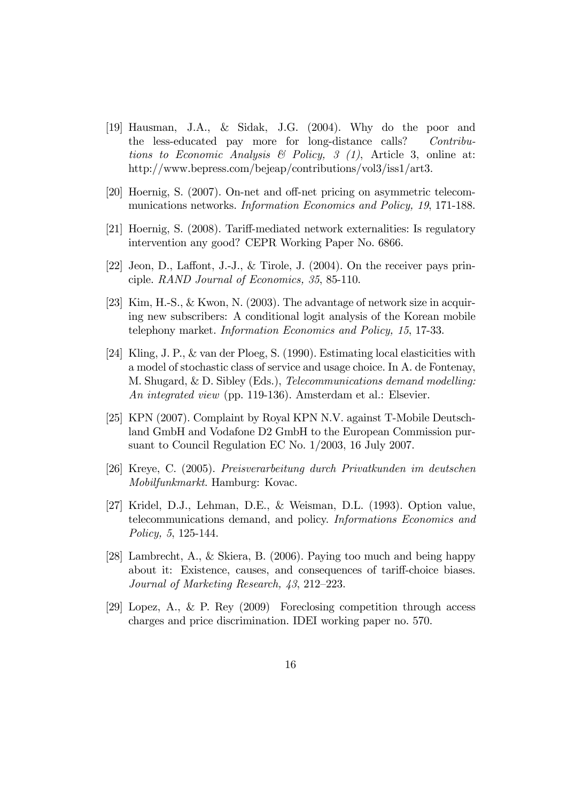- [19] Hausman, J.A., & Sidak, J.G. (2004). Why do the poor and the less-educated pay more for long-distance calls? Contributions to Economic Analysis  $\mathcal B$  Policy,  $\mathcal G$  (1), Article 3, online at: http://www.bepress.com/bejeap/contributions/vol3/iss1/art3.
- [20] Hoernig, S. (2007). On-net and off-net pricing on asymmetric telecommunications networks. Information Economics and Policy, 19, 171-188.
- [21] Hoernig, S. (2008). Tariff-mediated network externalities: Is regulatory intervention any good? CEPR Working Paper No. 6866.
- [22] Jeon, D., Laffont, J.-J., & Tirole, J.  $(2004)$ . On the receiver pays principle. RAND Journal of Economics, 35, 85-110.
- [23] Kim, H.-S., & Kwon, N. (2003). The advantage of network size in acquiring new subscribers: A conditional logit analysis of the Korean mobile telephony market. Information Economics and Policy, 15, 17-33.
- [24] Kling, J. P., & van der Ploeg, S. (1990). Estimating local elasticities with a model of stochastic class of service and usage choice. In A. de Fontenay, M. Shugard, & D. Sibley (Eds.), Telecommunications demand modelling: An integrated view (pp. 119-136). Amsterdam et al.: Elsevier.
- [25] KPN (2007). Complaint by Royal KPN N.V. against T-Mobile Deutschland GmbH and Vodafone D2 GmbH to the European Commission pursuant to Council Regulation EC No. 1/2003, 16 July 2007.
- [26] Kreye, C. (2005). Preisverarbeitung durch Privatkunden im deutschen Mobilfunkmarkt. Hamburg: Kovac.
- [27] Kridel, D.J., Lehman, D.E., & Weisman, D.L. (1993). Option value, telecommunications demand, and policy. Informations Economics and Policy, 5, 125-144.
- [28] Lambrecht, A., & Skiera, B. (2006). Paying too much and being happy about it: Existence, causes, and consequences of tariff-choice biases. Journal of Marketing Research,  $43, 212-223$ .
- [29] Lopez, A., & P. Rey (2009) Foreclosing competition through access charges and price discrimination. IDEI working paper no. 570.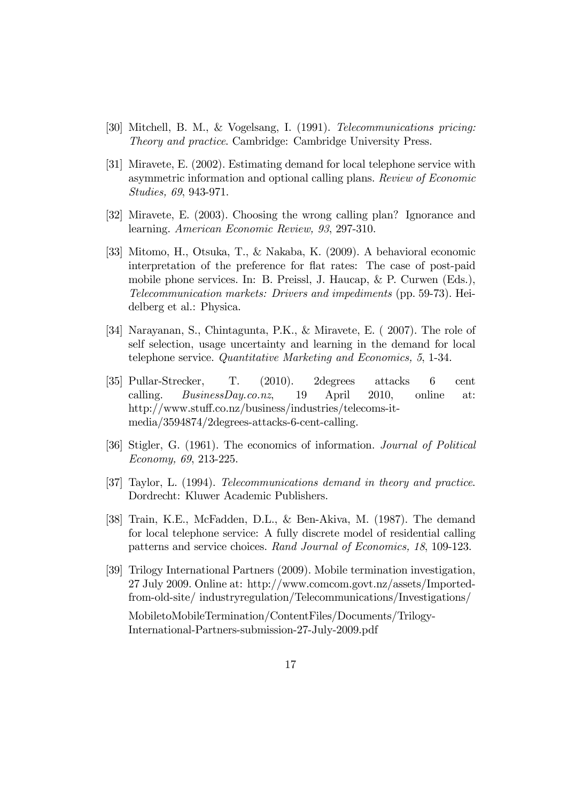- [30] Mitchell, B. M., & Vogelsang, I. (1991). Telecommunications pricing: Theory and practice. Cambridge: Cambridge University Press.
- [31] Miravete, E. (2002). Estimating demand for local telephone service with asymmetric information and optional calling plans. Review of Economic Studies, 69, 943-971.
- [32] Miravete, E. (2003). Choosing the wrong calling plan? Ignorance and learning. American Economic Review, 93, 297-310.
- [33] Mitomo, H., Otsuka, T., & Nakaba, K. (2009). A behavioral economic interpretation of the preference for flat rates: The case of post-paid mobile phone services. In: B. Preissl, J. Haucap, & P. Curwen (Eds.), Telecommunication markets: Drivers and impediments (pp. 59-73). Heidelberg et al.: Physica.
- [34] Narayanan, S., Chintagunta, P.K., & Miravete, E. ( 2007). The role of self selection, usage uncertainty and learning in the demand for local telephone service. Quantitative Marketing and Economics, 5, 1-34.
- [35] Pullar-Strecker, T. (2010). 2degrees attacks 6 cent calling. BusinessDay.co.nz, 19 April 2010, online at: http://www.stuff.co.nz/business/industries/telecoms-itmedia/3594874/2degrees-attacks-6-cent-calling.
- [36] Stigler, G. (1961). The economics of information. Journal of Political Economy, 69, 213-225.
- [37] Taylor, L. (1994). Telecommunications demand in theory and practice. Dordrecht: Kluwer Academic Publishers.
- [38] Train, K.E., McFadden, D.L., & Ben-Akiva, M. (1987). The demand for local telephone service: A fully discrete model of residential calling patterns and service choices. Rand Journal of Economics, 18, 109-123.
- [39] Trilogy International Partners (2009). Mobile termination investigation, 27 July 2009. Online at: http://www.comcom.govt.nz/assets/Importedfrom-old-site/ industryregulation/Telecommunications/Investigations/

MobiletoMobileTermination/ContentFiles/Documents/Trilogy-International-Partners-submission-27-July-2009.pdf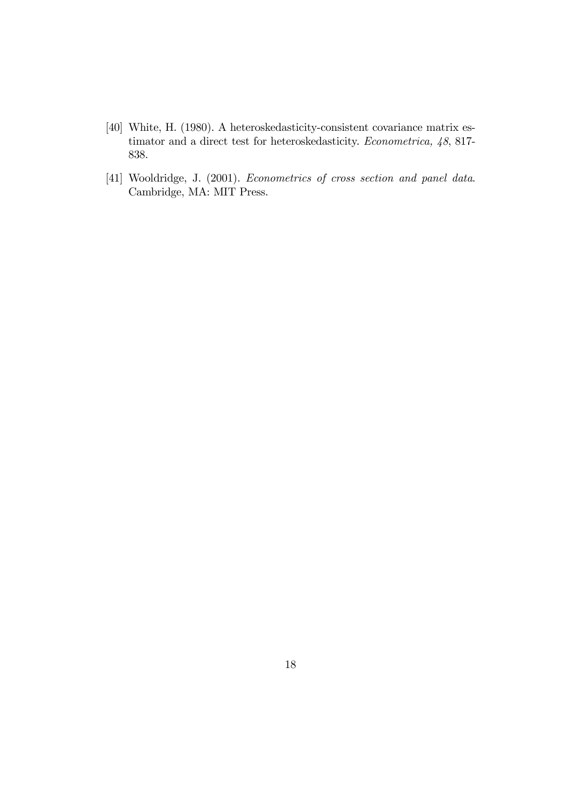- [40] White, H. (1980). A heteroskedasticity-consistent covariance matrix estimator and a direct test for heteroskedasticity. Econometrica, 48, 817- 838.
- [41] Wooldridge, J. (2001). Econometrics of cross section and panel data. Cambridge, MA: MIT Press.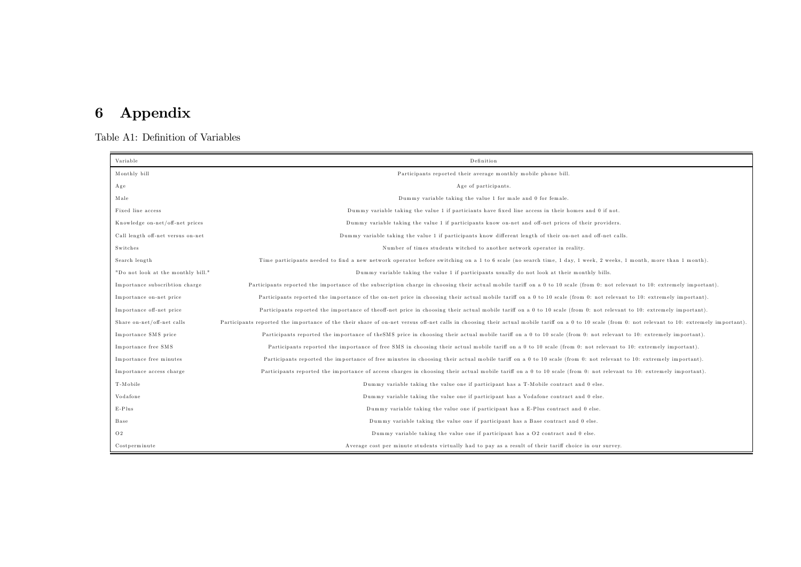# 6 Appendix

Table A1: Definition of Variables

| Variable                           | Definition                                                                                                                                                                                          |
|------------------------------------|-----------------------------------------------------------------------------------------------------------------------------------------------------------------------------------------------------|
| Monthly bill                       | Participants reported their average monthly mobile phone bill.                                                                                                                                      |
| Age                                | Age of participants.                                                                                                                                                                                |
| Male                               | Dummy variable taking the value 1 for male and 0 for female.                                                                                                                                        |
| Fixed line access                  | Dummy variable taking the value 1 if particiants have fixed line access in their homes and 0 if not.                                                                                                |
| Knowledge on-net/off-net prices    | Dummy variable taking the value 1 if participants know on-net and off-net prices of their providers.                                                                                                |
| Call length off-net versus on-net  | Dummy variable taking the value 1 if participants know different length of their on-net and off-net calls.                                                                                          |
| Switches                           | Number of times students witched to another network operator in reality.                                                                                                                            |
| Search length                      | Time participants needed to find a new network operator before switching on a 1 to 6 scale (no search time, 1 day, 1 week, 2 weeks, 1 month, more than 1 month).                                    |
| "Do not look at the monthly bill." | Dummy variable taking the value 1 if participants usually do not look at their monthly bills.                                                                                                       |
| Importance subscribtion charge     | Participants reported the importance of the subscription charge in choosing their actual mobile tariff on a 0 to 10 scale (from 0: not relevant to 10: extremely important).                        |
| Importance on-net price            | Participants reported the importance of the on-net price in choosing their actual mobile tariff on a 0 to 10 scale (from 0: not relevant to 10: extremely important).                               |
| Importance off-net price           | Participants reported the importance of theoff-net price in choosing their actual mobile tariff on a 0 to 10 scale (from 0: not relevant to 10: extremely important).                               |
| Share on-net/off-net calls         | Participants reported the importance of the their share of on-net versus off-net calls in choosing their actual mobile tariff on a 0 to 10 scale (from 0: not relevant to 10: extremely important). |
| Importance SMS price               | Participants reported the importance of the SMS price in choosing their actual mobile tariff on a 0 to 10 scale (from 0: not relevant to 10: extremely important).                                  |
| Importance free SMS                | Participants reported the importance of free SMS in choosing their actual mobile tariff on a 0 to 10 scale (from 0: not relevant to 10: extremely important).                                       |
| Importance free minutes            | Participants reported the importance of free minutes in choosing their actual mobile tariff on a 0 to 10 scale (from 0: not relevant to 10: extremely important).                                   |
| Importance access charge           | Participants reported the importance of access charges in choosing their actual mobile tariff on a 0 to 10 scale (from 0: not relevant to 10: extremely important).                                 |
| T-Mobile                           | Dummy variable taking the value one if participant has a T-Mobile contract and 0 else.                                                                                                              |
| Vodafone                           | Dummy variable taking the value one if participant has a Vodafone contract and 0 else.                                                                                                              |
| $E-Plus$                           | Dummy variable taking the value one if participant has a E-Plus contract and 0 else.                                                                                                                |
| Base                               | Dummy variable taking the value one if participant has a Base contract and 0 else.                                                                                                                  |
| O <sub>2</sub>                     | Dummy variable taking the value one if participant has a O2 contract and 0 else.                                                                                                                    |
| Costperminute                      | Average cost per minute students virtually had to pay as a result of their tariff choice in our survey.                                                                                             |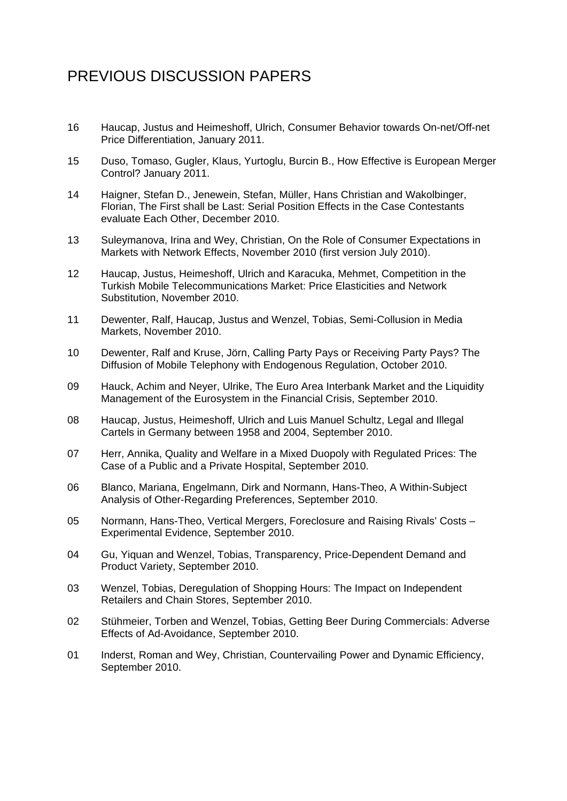# PREVIOUS DISCUSSION PAPERS

- 16 Haucap, Justus and Heimeshoff, Ulrich, Consumer Behavior towards On-net/Off-net Price Differentiation, January 2011.
- 15 Duso, Tomaso, Gugler, Klaus, Yurtoglu, Burcin B., How Effective is European Merger Control? January 2011.
- 14 Haigner, Stefan D., Jenewein, Stefan, Müller, Hans Christian and Wakolbinger, Florian, The First shall be Last: Serial Position Effects in the Case Contestants evaluate Each Other, December 2010.
- 13 Suleymanova, Irina and Wey, Christian, On the Role of Consumer Expectations in Markets with Network Effects, November 2010 (first version July 2010).
- 12 Haucap, Justus, Heimeshoff, Ulrich and Karacuka, Mehmet, Competition in the Turkish Mobile Telecommunications Market: Price Elasticities and Network Substitution, November 2010.
- 11 Dewenter, Ralf, Haucap, Justus and Wenzel, Tobias, Semi-Collusion in Media Markets, November 2010.
- 10 Dewenter, Ralf and Kruse, Jörn, Calling Party Pays or Receiving Party Pays? The Diffusion of Mobile Telephony with Endogenous Regulation, October 2010.
- 09 Hauck, Achim and Neyer, Ulrike, The Euro Area Interbank Market and the Liquidity Management of the Eurosystem in the Financial Crisis, September 2010.
- 08 Haucap, Justus, Heimeshoff, Ulrich and Luis Manuel Schultz, Legal and Illegal Cartels in Germany between 1958 and 2004, September 2010.
- 07 Herr, Annika, Quality and Welfare in a Mixed Duopoly with Regulated Prices: The Case of a Public and a Private Hospital, September 2010.
- 06 Blanco, Mariana, Engelmann, Dirk and Normann, Hans-Theo, A Within-Subject Analysis of Other-Regarding Preferences, September 2010.
- 05 Normann, Hans-Theo, Vertical Mergers, Foreclosure and Raising Rivals' Costs Experimental Evidence, September 2010.
- 04 Gu, Yiquan and Wenzel, Tobias, Transparency, Price-Dependent Demand and Product Variety, September 2010.
- 03 Wenzel, Tobias, Deregulation of Shopping Hours: The Impact on Independent Retailers and Chain Stores, September 2010.
- 02 Stühmeier, Torben and Wenzel, Tobias, Getting Beer During Commercials: Adverse Effects of Ad-Avoidance, September 2010.
- 01 Inderst, Roman and Wey, Christian, Countervailing Power and Dynamic Efficiency, September 2010.